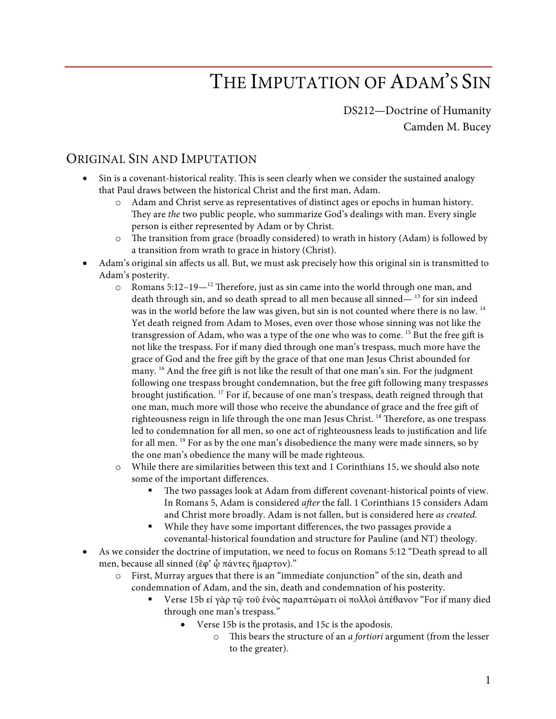# THE IMPUTATION OF ADAM'S SIN

DS212—Doctrine of Humanity Camden M. Bucey

### ORIGINAL SIN AND IMPUTATION

- Sin is a covenant-historical reality. This is seen clearly when we consider the sustained analogy that Paul draws between the historical Christ and the first man, Adam.
	- o Adam and Christ serve as representatives of distinct ages or epochs in human history. They are *the* two public people, who summarize God's dealings with man. Every single person is either represented by Adam or by Christ.
	- o The transition from grace (broadly considered) to wrath in history (Adam) is followed by a transition from wrath to grace in history (Christ).
- Adam's original sin affects us all. But, we must ask precisely how this original sin is transmitted to Adam's posterity.
	- o Romans 5:12–19—12 Therefore, just as sin came into the world through one man, and death through sin, and so death spread to all men because all sinned— $^{13}$  for sin indeed was in the world before the law was given, but sin is not counted where there is no law. 14 Yet death reigned from Adam to Moses, even over those whose sinning was not like the transgression of Adam, who was a type of the one who was to come. <sup>15</sup> But the free gift is not like the trespass. For if many died through one man's trespass, much more have the grace of God and the free gift by the grace of that one man Jesus Christ abounded for many. <sup>16</sup> And the free gift is not like the result of that one man's sin. For the judgment following one trespass brought condemnation, but the free gift following many trespasses brought justification. 17 For if, because of one man's trespass, death reigned through that one man, much more will those who receive the abundance of grace and the free gift of righteousness reign in life through the one man Jesus Christ.<sup>18</sup> Therefore, as one trespass led to condemnation for all men, so one act of righteousness leads to justification and life for all men. <sup>19</sup> For as by the one man's disobedience the many were made sinners, so by the one man's obedience the many will be made righteous.
	- o While there are similarities between this text and 1 Corinthians 15, we should also note some of the important differences.
		- The two passages look at Adam from different covenant-historical points of view. In Romans 5, Adam is considered *after* the fall. 1 Corinthians 15 considers Adam and Christ more broadly. Adam is not fallen, but is considered here *as created.*
		- While they have some important differences, the two passages provide a covenantal-historical foundation and structure for Pauline (and NT) theology.
- As we consider the doctrine of imputation, we need to focus on Romans 5:12 "Death spread to all men, because all sinned (ἐφ' ῷ πάντες ἥμαρτον)."
	- o First, Murray argues that there is an "immediate conjunction" of the sin, death and condemnation of Adam, and the sin, death and condemnation of his posterity.
		- Verse 15b εί γὰρ τῷ τοῦ ἑνὸς παραπτώματι οἱ πολλοὶ ἀπέθανον "For if many died through one man's trespass."
			- Verse 15b is the protasis, and 15c is the apodosis.
				- o This bears the structure of an *a fortiori* argument (from the lesser to the greater).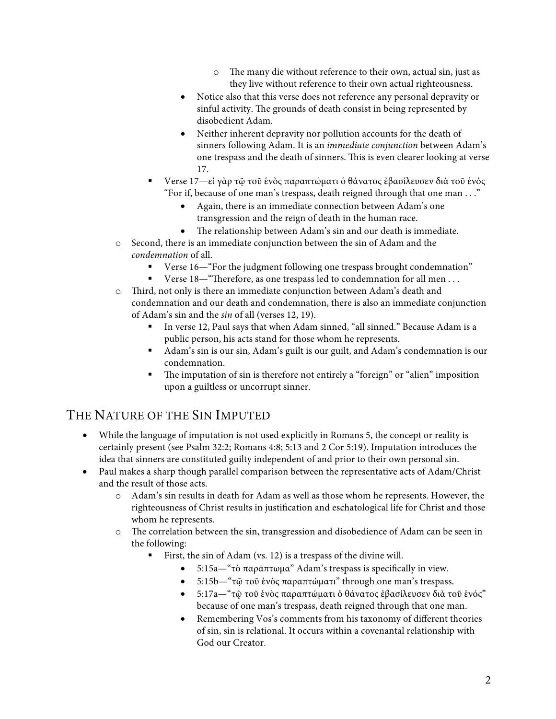- o The many die without reference to their own, actual sin, just as they live without reference to their own actual righteousness.
- Notice also that this verse does not reference any personal depravity or sinful activity. The grounds of death consist in being represented by disobedient Adam.
- Neither inherent depravity nor pollution accounts for the death of sinners following Adam. It is an *immediate conjunction* between Adam's one trespass and the death of sinners. This is even clearer looking at verse 17.
- § Verse 17—εἰ γὰρ τῷ τοῦ ἑνὸς παραπτώματι ὁ θάνατος ἐβασίλευσεν διὰ τοῦ ἑνός "For if, because of one man's trespass, death reigned through that one man . . ."
	- Again, there is an immediate connection between Adam's one transgression and the reign of death in the human race.
	- The relationship between Adam's sin and our death is immediate.
- o Second, there is an immediate conjunction between the sin of Adam and the *condemnation* of all.
	- Verse 16—"For the judgment following one trespass brought condemnation"
	- Verse 18—"Therefore, as one trespass led to condemnation for all men . . .
- o Third, not only is there an immediate conjunction between Adam's death and condemnation and our death and condemnation, there is also an immediate conjunction of Adam's sin and the *sin* of all (verses 12, 19).
	- § In verse 12, Paul says that when Adam sinned, "all sinned." Because Adam is a public person, his acts stand for those whom he represents.
	- § Adam's sin is our sin, Adam's guilt is our guilt, and Adam's condemnation is our condemnation.
	- The imputation of sin is therefore not entirely a "foreign" or "alien" imposition upon a guiltless or uncorrupt sinner.

# THE NATURE OF THE SIN IMPUTED

- While the language of imputation is not used explicitly in Romans 5, the concept or reality is certainly present (see Psalm 32:2; Romans 4:8; 5:13 and 2 Cor 5:19). Imputation introduces the idea that sinners are constituted guilty independent of and prior to their own personal sin.
- Paul makes a sharp though parallel comparison between the representative acts of Adam/Christ and the result of those acts.
	- o Adam's sin results in death for Adam as well as those whom he represents. However, the righteousness of Christ results in justification and eschatological life for Christ and those whom he represents.
	- o The correlation between the sin, transgression and disobedience of Adam can be seen in the following:
		- First, the sin of Adam (vs. 12) is a trespass of the divine will.
			- 5:15a—"τὸ παράπτωμα" Adam's trespass is specifically in view.
			- 5:15b—"τῷ τοῦ ἑνὸς παραπτώματι" through one man's trespass.
			- 5:17a—"τῷ τοῦ ἑνὸς παραπτώματι ὁ θάνατος ἐβασίλευσεν διὰ τοῦ ἑνός" because of one man's trespass, death reigned through that one man.
			- Remembering Vos's comments from his taxonomy of different theories of sin, sin is relational. It occurs within a covenantal relationship with God our Creator.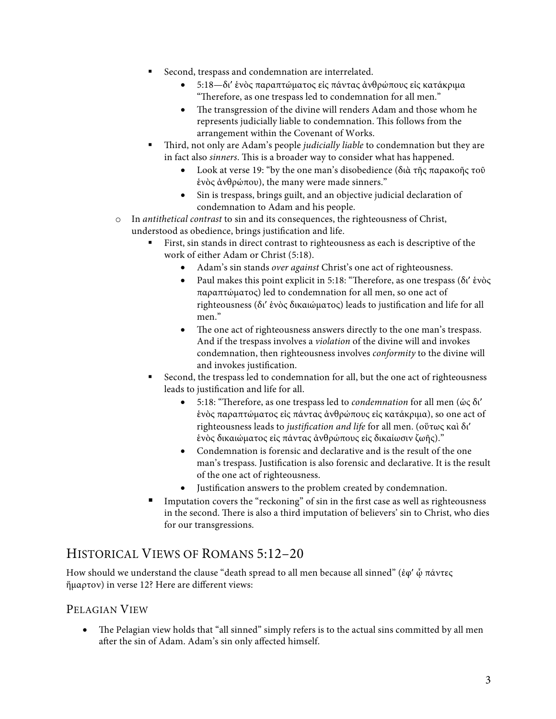- Second, trespass and condemnation are interrelated.
	- 5:18—δι' ἑνὸς παραπτώματος εἰς πάντας ἀνθρώπους εἰς κατάκριμα "Therefore, as one trespass led to condemnation for all men."
	- The transgression of the divine will renders Adam and those whom he represents judicially liable to condemnation. This follows from the arrangement within the Covenant of Works.
- § Third, not only are Adam's people *judicially liable* to condemnation but they are in fact also *sinners*. This is a broader way to consider what has happened.
	- Look at verse 19: "by the one man's disobedience (διὰ τῆς παρακοῆς τοῦ ἑνὸς ἀνθρώπου), the many were made sinners."
	- Sin is trespass, brings guilt, and an objective judicial declaration of condemnation to Adam and his people.
- o In *antithetical contrast* to sin and its consequences, the righteousness of Christ, understood as obedience, brings justification and life.
	- First, sin stands in direct contrast to righteousness as each is descriptive of the work of either Adam or Christ (5:18).
		- Adam's sin stands *over against* Christ's one act of righteousness.
		- Paul makes this point explicit in 5:18: "Therefore, as one trespass (δι' ἑνὸς παραπτώματος) led to condemnation for all men, so one act of righteousness (δι' ἑνὸς δικαιώματος) leads to justification and life for all men."
		- The one act of righteousness answers directly to the one man's trespass. And if the trespass involves a *violation* of the divine will and invokes condemnation, then righteousness involves *conformity* to the divine will and invokes justification.
	- § Second, the trespass led to condemnation for all, but the one act of righteousness leads to justification and life for all.
		- 5:18: "Therefore, as one trespass led to *condemnation* for all men (ὡς δι' ἑνὸς παραπτώματος εἰς πάντας ἀνθρώπους εἰς κατάκριμα), so one act of righteousness leads to *justification and life* for all men. (οὕτως καὶ δι' ἑνὸς δικαιώματος εἰς πάντας ἀνθρώπους εἰς δικαίωσιν ζωῆς)."
		- Condemnation is forensic and declarative and is the result of the one man's trespass. Justification is also forensic and declarative. It is the result of the one act of righteousness.
		- Justification answers to the problem created by condemnation.
	- Imputation covers the "reckoning" of sin in the first case as well as righteousness in the second. There is also a third imputation of believers' sin to Christ, who dies for our transgressions.

## HISTORICAL VIEWS OF ROMANS 5:12–20

How should we understand the clause "death spread to all men because all sinned" (ἐφ' ὦ πάντες ἥμαρτον) in verse 12? Here are different views:

#### PELAGIAN VIEW

• The Pelagian view holds that "all sinned" simply refers is to the actual sins committed by all men after the sin of Adam. Adam's sin only affected himself.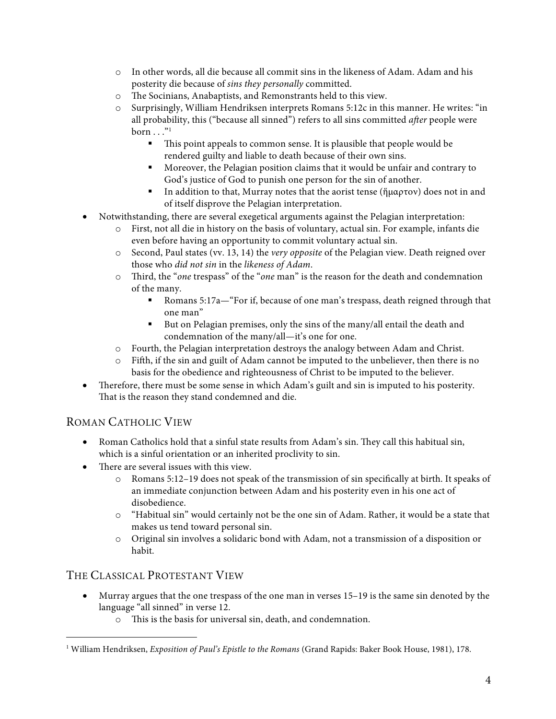- o In other words, all die because all commit sins in the likeness of Adam. Adam and his posterity die because of *sins they personally* committed.
- o The Socinians, Anabaptists, and Remonstrants held to this view.
- o Surprisingly, William Hendriksen interprets Romans 5:12c in this manner. He writes: "in all probability, this ("because all sinned") refers to all sins committed *after* people were  $born \dots$ "<sup>1</sup>
	- § This point appeals to common sense. It is plausible that people would be rendered guilty and liable to death because of their own sins.
	- § Moreover, the Pelagian position claims that it would be unfair and contrary to God's justice of God to punish one person for the sin of another.
	- § In addition to that, Murray notes that the aorist tense (ἥμαρτον) does not in and of itself disprove the Pelagian interpretation.
- Notwithstanding, there are several exegetical arguments against the Pelagian interpretation:
	- o First, not all die in history on the basis of voluntary, actual sin. For example, infants die even before having an opportunity to commit voluntary actual sin.
	- o Second, Paul states (vv. 13, 14) the *very opposite* of the Pelagian view. Death reigned over those who *did not sin* in the *likeness of Adam*.
	- o Third, the "*one* trespass" of the "*one* man" is the reason for the death and condemnation of the many.
		- § Romans 5:17a—"For if, because of one man's trespass, death reigned through that one man"
		- But on Pelagian premises, only the sins of the many/all entail the death and condemnation of the many/all—it's one for one.
	- o Fourth, the Pelagian interpretation destroys the analogy between Adam and Christ.
	- $\circ$  Fifth, if the sin and guilt of Adam cannot be imputed to the unbeliever, then there is no basis for the obedience and righteousness of Christ to be imputed to the believer.
- Therefore, there must be some sense in which Adam's guilt and sin is imputed to his posterity. That is the reason they stand condemned and die.

#### ROMAN CATHOLIC VIEW

- Roman Catholics hold that a sinful state results from Adam's sin. They call this habitual sin, which is a sinful orientation or an inherited proclivity to sin.
- There are several issues with this view.
	- o Romans 5:12–19 does not speak of the transmission of sin specifically at birth. It speaks of an immediate conjunction between Adam and his posterity even in his one act of disobedience.
	- o "Habitual sin" would certainly not be the one sin of Adam. Rather, it would be a state that makes us tend toward personal sin.
	- o Original sin involves a solidaric bond with Adam, not a transmission of a disposition or habit.

#### THE CLASSICAL PROTESTANT VIEW

- Murray argues that the one trespass of the one man in verses 15–19 is the same sin denoted by the language "all sinned" in verse 12.
	- o This is the basis for universal sin, death, and condemnation.

 <sup>1</sup> William Hendriksen, *Exposition of Paul's Epistle to the Romans* (Grand Rapids: Baker Book House, 1981), 178.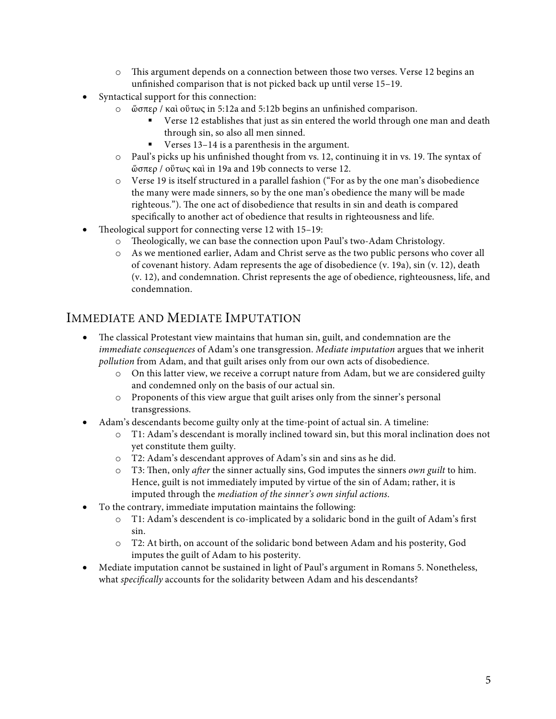- o This argument depends on a connection between those two verses. Verse 12 begins an unfinished comparison that is not picked back up until verse 15–19.
- Syntactical support for this connection:
	- o ὥσπερ / καὶ οὕτως in 5:12a and 5:12b begins an unfinished comparison.
		- Verse 12 establishes that just as sin entered the world through one man and death through sin, so also all men sinned.
		- Verses 13–14 is a parenthesis in the argument.
	- o Paul's picks up his unfinished thought from vs. 12, continuing it in vs. 19. The syntax of ὥσπερ / οὕτως καὶ in 19a and 19b connects to verse 12.
	- o Verse 19 is itself structured in a parallel fashion ("For as by the one man's disobedience the many were made sinners, so by the one man's obedience the many will be made righteous."). The one act of disobedience that results in sin and death is compared specifically to another act of obedience that results in righteousness and life.
- Theological support for connecting verse 12 with 15–19:
	- o Theologically, we can base the connection upon Paul's two-Adam Christology.
	- o As we mentioned earlier, Adam and Christ serve as the two public persons who cover all of covenant history. Adam represents the age of disobedience (v. 19a), sin (v. 12), death (v. 12), and condemnation. Christ represents the age of obedience, righteousness, life, and condemnation.

## IMMEDIATE AND MEDIATE IMPUTATION

- The classical Protestant view maintains that human sin, guilt, and condemnation are the *immediate consequences* of Adam's one transgression. *Mediate imputation* argues that we inherit *pollution* from Adam, and that guilt arises only from our own acts of disobedience.
	- o On this latter view, we receive a corrupt nature from Adam, but we are considered guilty and condemned only on the basis of our actual sin.
	- o Proponents of this view argue that guilt arises only from the sinner's personal transgressions.
- Adam's descendants become guilty only at the time-point of actual sin. A timeline:
	- o T1: Adam's descendant is morally inclined toward sin, but this moral inclination does not yet constitute them guilty.
	- o T2: Adam's descendant approves of Adam's sin and sins as he did.
	- o T3: Then, only *after* the sinner actually sins, God imputes the sinners *own guilt* to him. Hence, guilt is not immediately imputed by virtue of the sin of Adam; rather, it is imputed through the *mediation of the sinner's own sinful actions*.
- To the contrary, immediate imputation maintains the following:
	- o T1: Adam's descendent is co-implicated by a solidaric bond in the guilt of Adam's first sin.
	- o T2: At birth, on account of the solidaric bond between Adam and his posterity, God imputes the guilt of Adam to his posterity.
- Mediate imputation cannot be sustained in light of Paul's argument in Romans 5. Nonetheless, what *specifically* accounts for the solidarity between Adam and his descendants?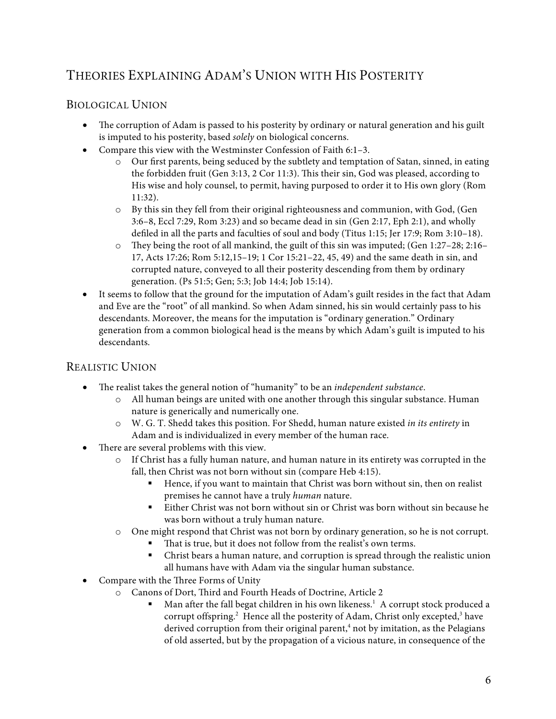# THEORIES EXPLAINING ADAM'S UNION WITH HIS POSTERITY

#### BIOLOGICAL UNION

- The corruption of Adam is passed to his posterity by ordinary or natural generation and his guilt is imputed to his posterity, based *solely* on biological concerns.
- Compare this view with the Westminster Confession of Faith 6:1–3.
	- o Our first parents, being seduced by the subtlety and temptation of Satan, sinned, in eating the forbidden fruit (Gen 3:13, 2 Cor 11:3). This their sin, God was pleased, according to His wise and holy counsel, to permit, having purposed to order it to His own glory (Rom 11:32).
	- o By this sin they fell from their original righteousness and communion, with God, (Gen 3:6–8, Eccl 7:29, Rom 3:23) and so became dead in sin (Gen 2:17, Eph 2:1), and wholly defiled in all the parts and faculties of soul and body (Titus 1:15; Jer 17:9; Rom 3:10–18).
	- $\circ$  They being the root of all mankind, the guilt of this sin was imputed; (Gen 1:27–28; 2:16– 17, Acts 17:26; Rom 5:12,15–19; 1 Cor 15:21–22, 45, 49) and the same death in sin, and corrupted nature, conveyed to all their posterity descending from them by ordinary generation. (Ps 51:5; Gen; 5:3; Job 14:4; Job 15:14).
- It seems to follow that the ground for the imputation of Adam's guilt resides in the fact that Adam and Eve are the "root" of all mankind. So when Adam sinned, his sin would certainly pass to his descendants. Moreover, the means for the imputation is "ordinary generation." Ordinary generation from a common biological head is the means by which Adam's guilt is imputed to his descendants.

#### REALISTIC UNION

- The realist takes the general notion of "humanity" to be an *independent substance*.
	- o All human beings are united with one another through this singular substance. Human nature is generically and numerically one.
	- o W. G. T. Shedd takes this position. For Shedd, human nature existed *in its entirety* in Adam and is individualized in every member of the human race.
- There are several problems with this view.
	- o If Christ has a fully human nature, and human nature in its entirety was corrupted in the fall, then Christ was not born without sin (compare Heb 4:15).
		- Hence, if you want to maintain that Christ was born without sin, then on realist premises he cannot have a truly *human* nature.
		- § Either Christ was not born without sin or Christ was born without sin because he was born without a truly human nature.
	- o One might respond that Christ was not born by ordinary generation, so he is not corrupt.
		- That is true, but it does not follow from the realist's own terms.
		- § Christ bears a human nature, and corruption is spread through the realistic union all humans have with Adam via the singular human substance.
- Compare with the Three Forms of Unity
	- o Canons of Dort, Third and Fourth Heads of Doctrine, Article 2
		- Man after the fall begat children in his own likeness.<sup>1</sup> A corrupt stock produced a corrupt offspring.<sup>2</sup> Hence all the posterity of Adam, Christ only excepted,<sup>3</sup> have derived corruption from their original parent,<sup>4</sup> not by imitation, as the Pelagians of old asserted, but by the propagation of a vicious nature, in consequence of the